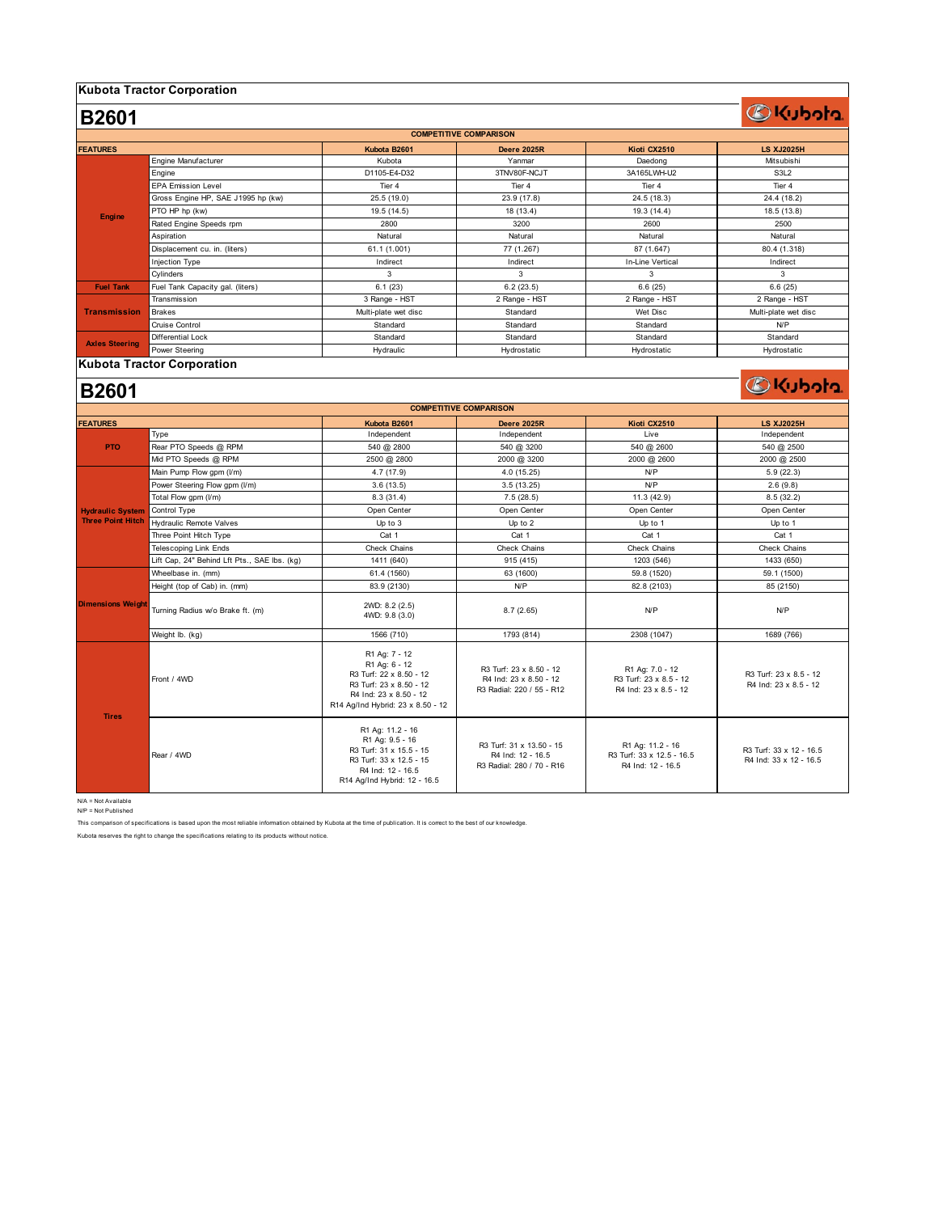#### **Kubota Tractor Corporation**

## **DKubota**

**OKubota** 

| <b>COMPETITIVE COMPARISON</b> |                                    |                      |                    |                  |                      |  |
|-------------------------------|------------------------------------|----------------------|--------------------|------------------|----------------------|--|
| <b>FEATURES</b>               |                                    | Kubota B2601         | <b>Deere 2025R</b> | Kioti CX2510     | <b>LS XJ2025H</b>    |  |
| Engine                        | Engine Manufacturer                | Kubota               | Yanmar             | Daedong          | Mitsubishi           |  |
|                               | Engine                             | D1105-E4-D32         | 3TNV80F-NCJT       | 3A165LWH-U2      | S3L2                 |  |
|                               | <b>EPA Emission Level</b>          | Tier 4               | Tier 4             | Tier 4           | Tier 4               |  |
|                               | Gross Engine HP, SAE J1995 hp (kw) | 25.5 (19.0)          | 23.9 (17.8)        | 24.5 (18.3)      | 24.4 (18.2)          |  |
|                               | PTO HP hp (kw)                     | 19.5 (14.5)          | 18 (13.4)          | 19.3 (14.4)      | 18.5(13.8)           |  |
|                               | Rated Engine Speeds rpm            | 2800                 | 3200               | 2600             | 2500                 |  |
|                               | Aspiration                         | Natural              | Natural            | Natural          | Natural              |  |
|                               | Displacement cu. in. (liters)      | 61.1 (1.001)         | 77 (1.267)         | 87 (1.647)       | 80.4 (1.318)         |  |
|                               | Injection Type                     | Indirect             | Indirect           | In-Line Vertical | Indirect             |  |
|                               | Cylinders                          | 3                    | 3                  | 3                | 3                    |  |
| <b>Fuel Tank</b>              | Fuel Tank Capacity gal. (liters)   | 6.1(23)              | 6.2(23.5)          | 6.6(25)          | 6.6(25)              |  |
| <b>Transmission</b>           | Transmission                       | 3 Range - HST        | 2 Range - HST      | 2 Range - HST    | 2 Range - HST        |  |
|                               | <b>Brakes</b>                      | Multi-plate wet disc | Standard           | Wet Disc         | Multi-plate wet disc |  |
|                               | Cruise Control                     | Standard             | Standard           | Standard         | N/P                  |  |
| <b>Axles Steering</b>         | Differential Lock                  | Standard             | Standard           | Standard         | Standard             |  |
|                               | Power Steering                     | Hydraulic            | Hydrostatic        | Hydrostatic      | Hydrostatic          |  |

#### **Kubota Tractor Corporation**

### **B2601**

**B2601**

| <b>COMPETITIVE COMPARISON</b>                       |                                              |                                                                                                                                                     |                                                                                |                                                                    |                                                   |  |  |
|-----------------------------------------------------|----------------------------------------------|-----------------------------------------------------------------------------------------------------------------------------------------------------|--------------------------------------------------------------------------------|--------------------------------------------------------------------|---------------------------------------------------|--|--|
| <b>FEATURES</b>                                     |                                              | Kubota B2601                                                                                                                                        | <b>Deere 2025R</b>                                                             | Kioti CX2510                                                       | <b>LS XJ2025H</b>                                 |  |  |
| <b>PTO</b>                                          | Type                                         | Independent                                                                                                                                         | Independent                                                                    | Live                                                               | Independent                                       |  |  |
|                                                     | Rear PTO Speeds @ RPM                        | 540 @ 2800                                                                                                                                          | 540 @ 3200                                                                     | 540 @ 2600                                                         | 540 @ 2500                                        |  |  |
|                                                     | Mid PTO Speeds @ RPM                         | 2500 @ 2800                                                                                                                                         | 2000 @ 3200                                                                    | 2000 @ 2600                                                        | 2000 @ 2500                                       |  |  |
| <b>Hydraulic System</b><br><b>Three Point Hitch</b> | Main Pump Flow gpm (I/m)                     | 4.7(17.9)                                                                                                                                           | 4.0(15.25)                                                                     | N/P                                                                | 5.9(22.3)                                         |  |  |
|                                                     | Power Steering Flow gpm (I/m)                | 3.6(13.5)                                                                                                                                           | 3.5(13.25)                                                                     | NP                                                                 | 2.6(9.8)                                          |  |  |
|                                                     | Total Flow gpm (I/m)                         | 8.3(31.4)                                                                                                                                           | 7.5(28.5)                                                                      | 11.3(42.9)                                                         | 8.5(32.2)                                         |  |  |
|                                                     | Control Type                                 | Open Center                                                                                                                                         | Open Center                                                                    | Open Center                                                        | Open Center                                       |  |  |
|                                                     | Hydraulic Remote Valves                      | Up to 3                                                                                                                                             | Up to 2                                                                        | Up to 1                                                            | Up to 1                                           |  |  |
|                                                     | Three Point Hitch Type                       | Cat 1                                                                                                                                               | Cat 1                                                                          | Cat 1                                                              | Cat 1                                             |  |  |
|                                                     | <b>Telescoping Link Ends</b>                 | Check Chains                                                                                                                                        | Check Chains                                                                   | Check Chains                                                       | Check Chains                                      |  |  |
|                                                     | Lift Cap, 24" Behind Lft Pts., SAE Ibs. (kg) | 1411 (640)                                                                                                                                          | 915 (415)                                                                      | 1203 (546)                                                         | 1433 (650)                                        |  |  |
|                                                     | Wheelbase in. (mm)                           | 61.4 (1560)                                                                                                                                         | 63 (1600)                                                                      | 59.8 (1520)                                                        | 59.1 (1500)                                       |  |  |
|                                                     | Height (top of Cab) in. (mm)                 | 83.9 (2130)                                                                                                                                         | NP                                                                             | 82.8 (2103)                                                        | 85 (2150)                                         |  |  |
| <b>Dimensions Weight</b>                            | Turning Radius w/o Brake ft. (m)             | 2WD: 8.2 (2.5)<br>4WD: 9.8 (3.0)                                                                                                                    | 8.7(2.65)                                                                      | NP                                                                 | N/P                                               |  |  |
|                                                     | Weight Ib. (kg)                              | 1566 (710)                                                                                                                                          | 1793 (814)                                                                     | 2308 (1047)                                                        | 1689 (766)                                        |  |  |
| <b>Tires</b>                                        | Front / 4WD                                  | R1 Ag: 7 - 12<br>R1 Ag: 6 - 12<br>R3 Turf: 22 x 8.50 - 12<br>R3 Turf: 23 x 8.50 - 12<br>R4 Ind: 23 x 8.50 - 12<br>R14 Ag/Ind Hybrid: 23 x 8.50 - 12 | R3 Turf: 23 x 8.50 - 12<br>R4 Ind: 23 x 8.50 - 12<br>R3 Radial: 220 / 55 - R12 | R1 Ag: 7.0 - 12<br>R3 Turf: 23 x 8.5 - 12<br>R4 Ind: 23 x 8.5 - 12 | R3 Turf: 23 x 8.5 - 12<br>R4 Ind: 23 x 8.5 - 12   |  |  |
|                                                     | Rear / 4WD                                   | R1 Ag: 11.2 - 16<br>R1 Ag: 9.5 - 16<br>R3 Turf: 31 x 15.5 - 15<br>R3 Turf: 33 x 12.5 - 15<br>R4 Ind: 12 - 16.5<br>R14 Ag/Ind Hybrid: 12 - 16.5      | R3 Turf: 31 x 13.50 - 15<br>R4 Ind: 12 - 16.5<br>R3 Radial: 280 / 70 - R16     | R1 Ag: 11.2 - 16<br>R3 Turf: 33 x 12.5 - 16.5<br>R4 Ind: 12 - 16.5 | R3 Turf: 33 x 12 - 16.5<br>R4 Ind: 33 x 12 - 16.5 |  |  |

N/A = Not Available N/P = Not Published

This comparison of specifications is based upon the most reliable information obtained by Kubota at the time of publication. It is correct to the best of our knowledge.

Kubota reserves the right to change the specifications relating to its products without notice.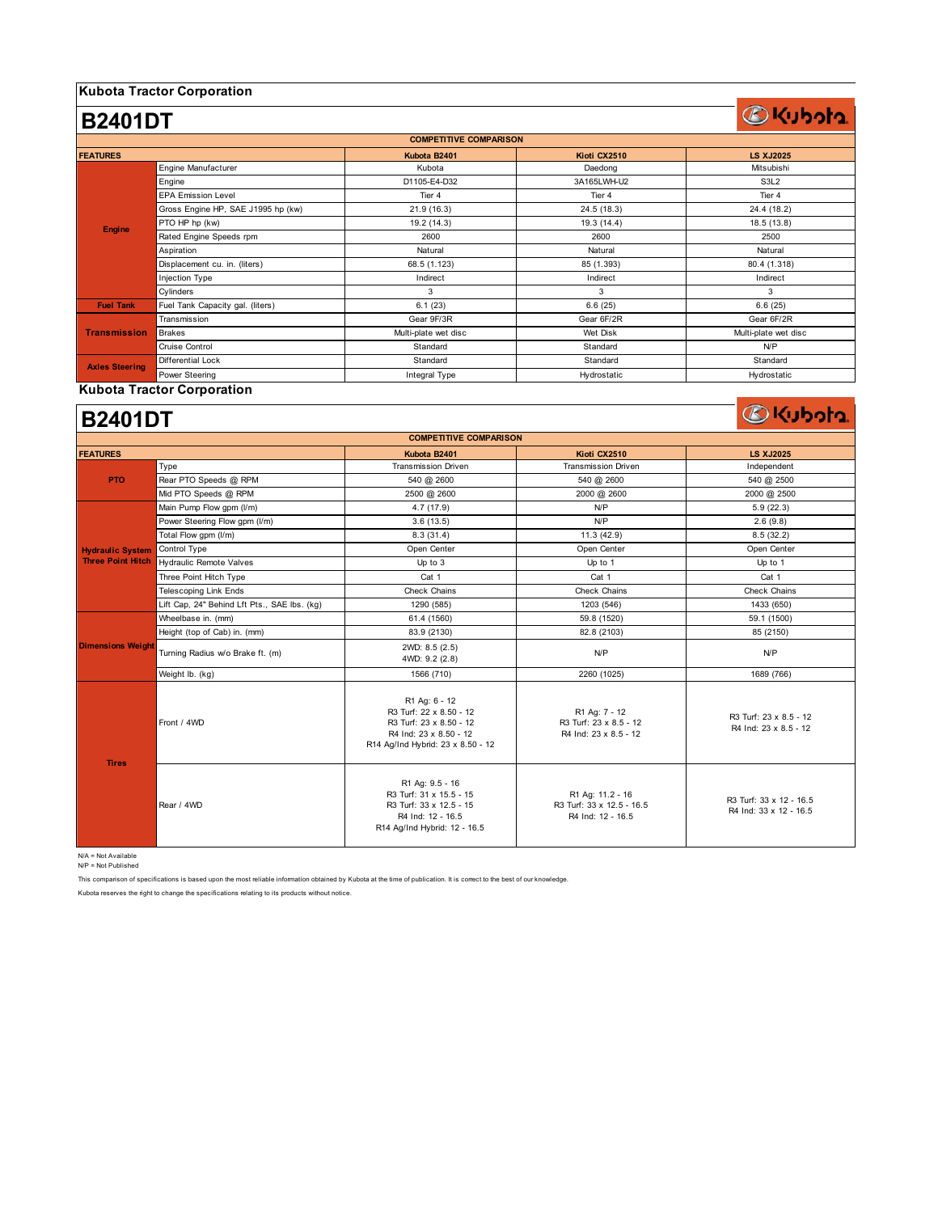### **Kubota Tractor Corporation**

#### **Kubota B2401 Kioti CX2510 LS XJ2025** Engine Manufacturer **Kubota** (Kubota ) Rubota Daedong (Kubota Daedong ) Mitsubishi Engine D1105-E4-D32 3A165LWH-U2 S3L2 EPA Emission Level **The Contract Contract Tier 4** Tier 4 Tier 4 Tier 4 Tier 4 Tier 4 Tier 4 Tier 4 Tier 4 Tier 4 Gross Engine HP, SAE J1995 hp (kw) 21.9 (16.3) 24.4 (18.2) 24.4 (18.2) PTO HP hp (kw) 19.2 (14.3) 19.2 (14.3) 19.3 (14.4) 19.3 (14.4) 18.5 (13.8) Rated Engine Speeds rpm 2600 2600 2500 Aspiration Natural Natural Natural Displacement cu. in. (liters) 68.5 (1.123) 85 (1.393) 80.4 (1.318) Injection Type **Indirect** Indirect The Indirect Indirect Indirect Indirect Indirect Indirect Indirect Indirect Cylinders and the control of the control of the control of the control of the control of the control of the control of the control of the control of the control of the control of the control of the control of the control o **Fuel Tank** Fuel Tank Capacity gal. (liters) 6.1 (23) 6.6 (25) 6.6 (25) Transmission Gear 9F/3R Gear 6F/2R Gear 6F/2R Brakes Multi-plate wet disc Wet Disk Multi-plate wet disc Cruise Control Network Cruise Control Network Cruise Control Network Cruise Control Network Cruise Control Network Differential Lock Standard Standard Standard Power Steering The Theorem Integral Type Theorem Hydrostatic Hydrostatic Hydrostatic Hydrostatic Hydrostatic Hydrostatic **B2401DT COMPETITIVE COMPARISON FEATURES Axles Steering Engine Transmission**

#### **Kubota Tractor Corporation**

### **B2401DT**

| <b>COMPETITIVE COMPARISON</b> |                                              |                                                                                                                                    |                                                                    |                                                   |  |  |  |
|-------------------------------|----------------------------------------------|------------------------------------------------------------------------------------------------------------------------------------|--------------------------------------------------------------------|---------------------------------------------------|--|--|--|
| <b>FEATURES</b>               |                                              | Kubota B2401                                                                                                                       | Kioti CX2510                                                       | <b>LS XJ2025</b>                                  |  |  |  |
| <b>PTO</b>                    | Type                                         | <b>Transmission Driven</b>                                                                                                         | <b>Transmission Driven</b>                                         | Independent                                       |  |  |  |
|                               | Rear PTO Speeds @ RPM                        | 540 @ 2600                                                                                                                         | 540 @ 2600                                                         | 540 @ 2500                                        |  |  |  |
|                               | Mid PTO Speeds @ RPM                         | 2500 @ 2600                                                                                                                        | 2000 @ 2600                                                        | 2000 @ 2500                                       |  |  |  |
|                               | Main Pump Flow gpm (I/m)                     | 4.7(17.9)                                                                                                                          | N/P                                                                | 5.9(22.3)                                         |  |  |  |
|                               | Power Steering Flow gpm (I/m)                | 3.6(13.5)                                                                                                                          | N/P                                                                | 2.6(9.8)                                          |  |  |  |
|                               | Total Flow gpm (I/m)                         | 8.3(31.4)                                                                                                                          | 11.3(42.9)                                                         | 8.5(32.2)                                         |  |  |  |
| <b>Hydraulic System</b>       | Control Type                                 | Open Center                                                                                                                        | Open Center                                                        | Open Center                                       |  |  |  |
| <b>Three Point Hitch</b>      | <b>Hydraulic Remote Valves</b>               | Up to 3                                                                                                                            | Up to 1                                                            | Up to 1                                           |  |  |  |
|                               | Three Point Hitch Type                       | Cat 1                                                                                                                              | Cat 1                                                              | Cat 1                                             |  |  |  |
|                               | <b>Telescoping Link Ends</b>                 | Check Chains                                                                                                                       | Check Chains                                                       | Check Chains                                      |  |  |  |
|                               | Lift Cap, 24" Behind Lft Pts., SAE lbs. (kg) | 1290 (585)                                                                                                                         | 1203 (546)                                                         | 1433 (650)                                        |  |  |  |
|                               | Wheelbase in. (mm)                           | 61.4 (1560)                                                                                                                        | 59.8 (1520)                                                        | 59.1 (1500)                                       |  |  |  |
|                               | Height (top of Cab) in. (mm)                 | 83.9 (2130)                                                                                                                        | 82.8 (2103)                                                        | 85 (2150)                                         |  |  |  |
| <b>Dimensions Weight</b>      | Turning Radius w/o Brake ft. (m)             | 2WD: 8.5 (2.5)<br>4WD: 9.2 (2.8)                                                                                                   | N/P                                                                | N/P                                               |  |  |  |
|                               | Weight lb. (kg)                              | 1566 (710)                                                                                                                         | 2260 (1025)                                                        | 1689 (766)                                        |  |  |  |
| <b>Tires</b>                  | Front / 4WD                                  | R1 Ag: 6 - 12<br>R3 Turf: 22 x 8.50 - 12<br>R3 Turf: 23 x 8.50 - 12<br>R4 Ind: 23 x 8.50 - 12<br>R14 Ag/Ind Hybrid: 23 x 8.50 - 12 | R1 Ag: 7 - 12<br>R3 Turf: 23 x 8.5 - 12<br>R4 Ind: 23 x 8.5 - 12   | R3 Turf: 23 x 8.5 - 12<br>R4 Ind: 23 x 8.5 - 12   |  |  |  |
|                               | Rear / 4WD                                   | R1 Ag: 9.5 - 16<br>R3 Turf: 31 x 15.5 - 15<br>R3 Turf: 33 x 12.5 - 15<br>R4 Ind: 12 - 16.5<br>R14 Ag/Ind Hybrid: 12 - 16.5         | R1 Ag: 11.2 - 16<br>R3 Turf: 33 x 12.5 - 16.5<br>R4 Ind: 12 - 16.5 | R3 Turf: 33 x 12 - 16.5<br>R4 Ind: 33 x 12 - 16.5 |  |  |  |

N/A = Not Available

N/P = Not Published

This comparison of specifications is based upon the most reliable information obtained by Kubota at the time of publication. It is correct to the best of our knowledge.

Kubota reserves the right to change the specifications relating to its products without notice.

## **OKubota**

**BKubota**